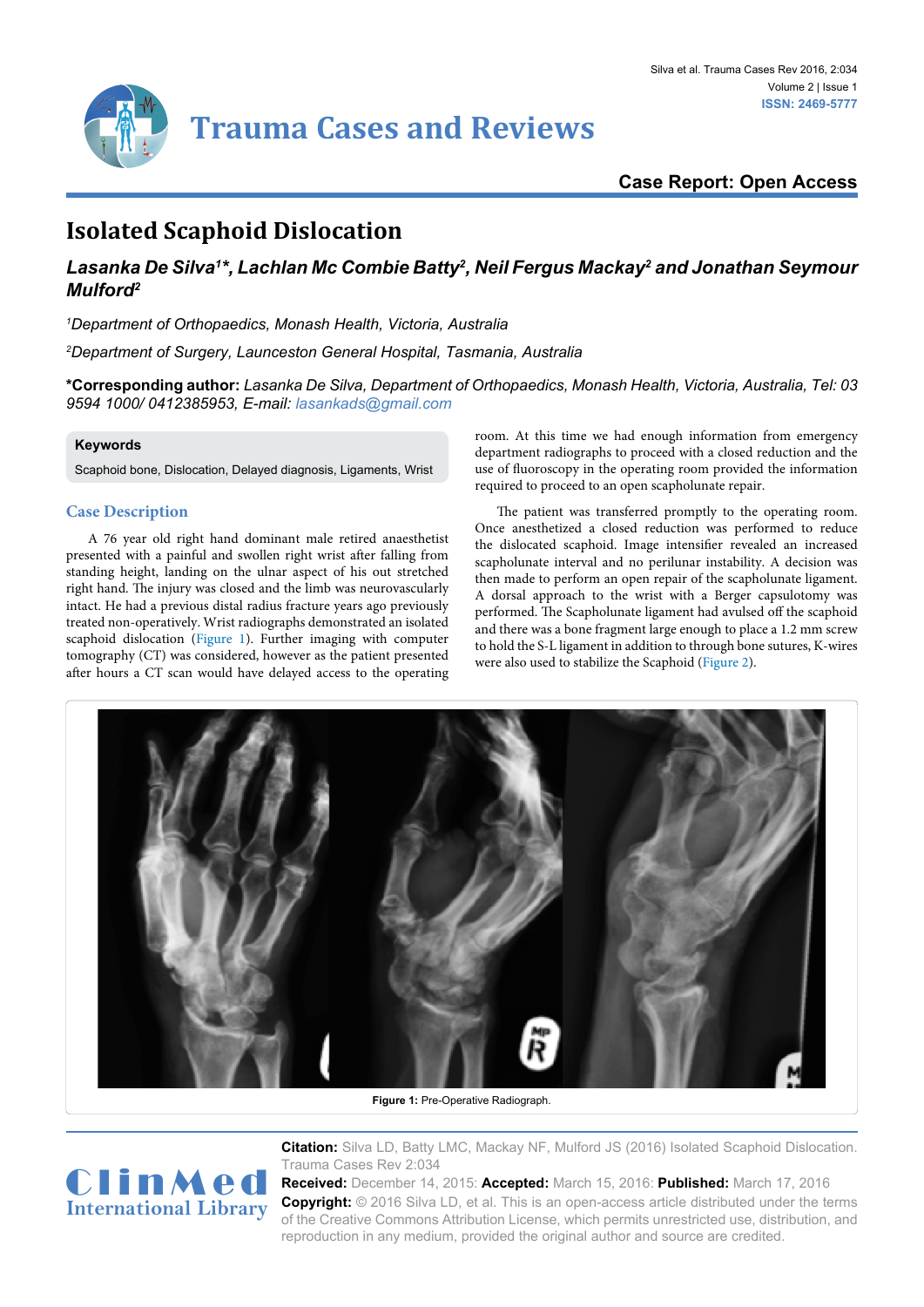

# **Case Report: Open Access**

# **Isolated Scaphoid Dislocation**

## Lasanka De Silva<sup>1</sup>\*, Lachlan Mc Combie Batty<sup>2</sup>, Neil Fergus Mackay<sup>2</sup> and Jonathan Seymour *Mulford2*

*1 Department of Orthopaedics, Monash Health, Victoria, Australia*

*2 Department of Surgery, Launceston General Hospital, Tasmania, Australia*

**\*Corresponding author:** *Lasanka De Silva, Department of Orthopaedics, Monash Health, Victoria, Australia, Tel: 03 9594 1000/ 0412385953, E-mail: lasankads@gmail.com*

### **Keywords**

<span id="page-0-0"></span>Ĩ

Scaphoid bone, Dislocation, Delayed diagnosis, Ligaments, Wrist

## **Case Description**

A 76 year old right hand dominant male retired anaesthetist presented with a painful and swollen right wrist after falling from standing height, landing on the ulnar aspect of his out stretched right hand. The injury was closed and the limb was neurovascularly intact. He had a previous distal radius fracture years ago previously treated non-operatively. Wrist radiographs demonstrated an isolated scaphoid dislocation [\(Figure 1](#page-0-0)). Further imaging with computer tomography (CT) was considered, however as the patient presented after hours a CT scan would have delayed access to the operating room. At this time we had enough information from emergency department radiographs to proceed with a closed reduction and the use of fluoroscopy in the operating room provided the information required to proceed to an open scapholunate repair.

The patient was transferred promptly to the operating room. Once anesthetized a closed reduction was performed to reduce the dislocated scaphoid. Image intensifier revealed an increased scapholunate interval and no perilunar instability. A decision was then made to perform an open repair of the scapholunate ligament. A dorsal approach to the wrist with a Berger capsulotomy was performed. The Scapholunate ligament had avulsed off the scaphoid and there was a bone fragment large enough to place a 1.2 mm screw to hold the S-L ligament in addition to through bone sutures, K-wires were also used to stabilize the Scaphoid ([Figure 2](#page-1-0)).



**Figure 1:** Pre-Operative Radiograph.



**Citation:** Silva LD, Batty LMC, Mackay NF, Mulford JS (2016) Isolated Scaphoid Dislocation. Trauma Cases Rev 2:034

**Received:** December 14, 2015: **Accepted:** March 15, 2016: **Published:** March 17, 2016 **Copyright:** © 2016 Silva LD, et al. This is an open-access article distributed under the terms of the Creative Commons Attribution License, which permits unrestricted use, distribution, and reproduction in any medium, provided the original author and source are credited.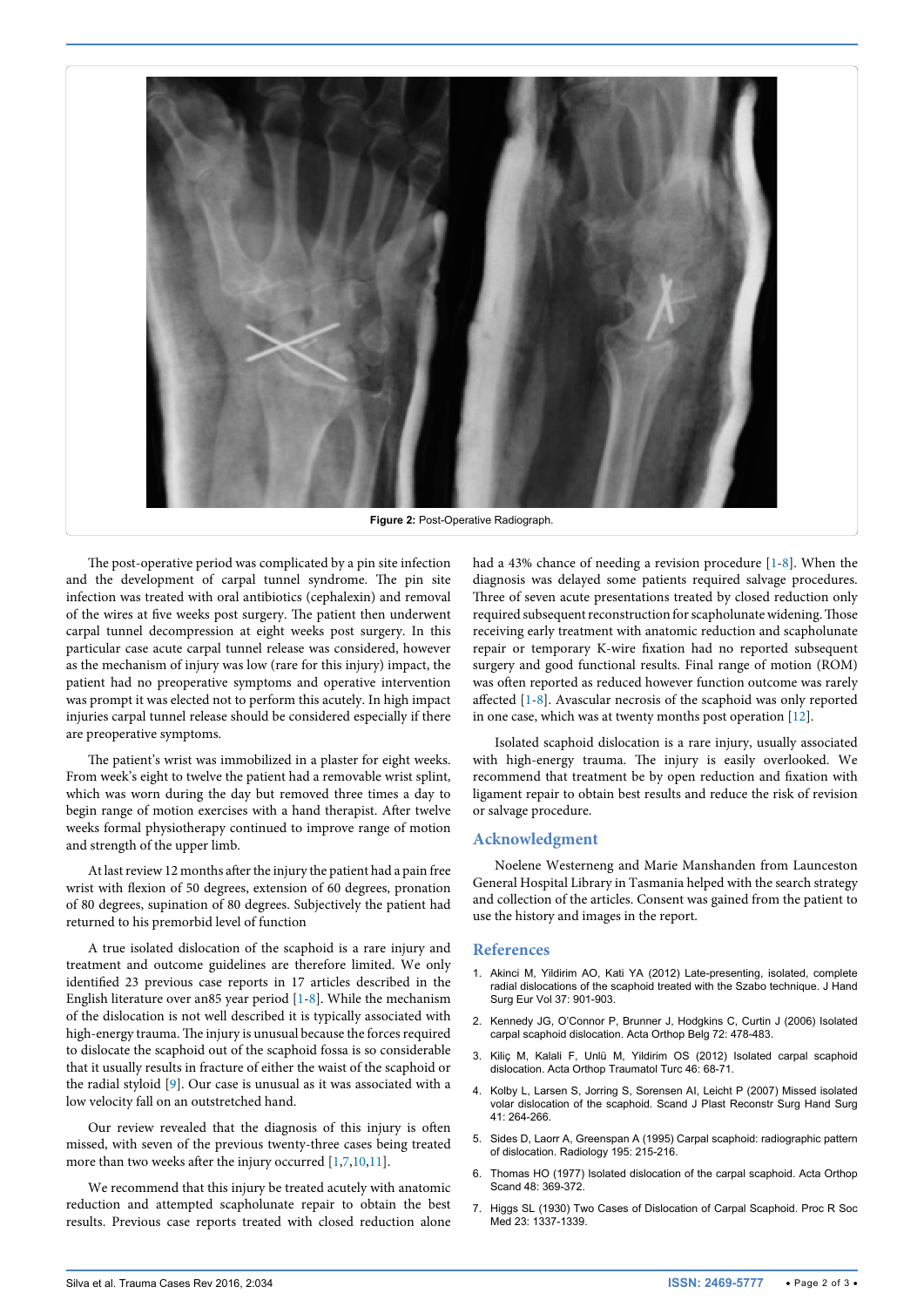

**Figure 2: Post-Operative Radiograph.** 

The post-operative period was complicated by a pin site infection and the development of carpal tunnel syndrome. The pin site infection was treated with oral antibiotics (cephalexin) and removal of the wires at five weeks post surgery. The patient then underwent carpal tunnel decompression at eight weeks post surgery. In this particular case acute carpal tunnel release was considered, however as the mechanism of injury was low (rare for this injury) impact, the patient had no preoperative symptoms and operative intervention was prompt it was elected not to perform this acutely. In high impact injuries carpal tunnel release should be considered especially if there are preoperative symptoms.

<span id="page-1-0"></span>Ī

The patient's wrist was immobilized in a plaster for eight weeks. From week's eight to twelve the patient had a removable wrist splint, which was worn during the day but removed three times a day to begin range of motion exercises with a hand therapist. After twelve weeks formal physiotherapy continued to improve range of motion and strength of the upper limb.

At last review 12 months after the injury the patient had a pain free wrist with flexion of 50 degrees, extension of 60 degrees, pronation of 80 degrees, supination of 80 degrees. Subjectively the patient had returned to his premorbid level of function

A true isolated dislocation of the scaphoid is a rare injury and treatment and outcome guidelines are therefore limited. We only identified 23 previous case reports in 17 articles described in the English literature over an85 year period [[1](#page-1-1)[-8](#page-2-0)]. While the mechanism of the dislocation is not well described it is typically associated with high-energy trauma. The injury is unusual because the forces required to dislocate the scaphoid out of the scaphoid fossa is so considerable that it usually results in fracture of either the waist of the scaphoid or the radial styloid [\[9\]](#page-2-2). Our case is unusual as it was associated with a low velocity fall on an outstretched hand.

Our review revealed that the diagnosis of this injury is often missed, with seven of the previous twenty-three cases being treated more than two weeks after the injury occurred [\[1,](#page-1-1)[7](#page-1-2)[,10,](#page-2-3)[11\]](#page-2-4).

We recommend that this injury be treated acutely with anatomic reduction and attempted scapholunate repair to obtain the best results. Previous case reports treated with closed reduction alone had a 43% chance of needing a revision procedure [[1-](#page-1-1)[8](#page-2-0)]. When the diagnosis was delayed some patients required salvage procedures. Three of seven acute presentations treated by closed reduction only required subsequent reconstruction for scapholunate widening. Those receiving early treatment with anatomic reduction and scapholunate repair or temporary K-wire fixation had no reported subsequent surgery and good functional results. Final range of motion (ROM) was often reported as reduced however function outcome was rarely affected [\[1-](#page-1-1)[8](#page-2-0)]. Avascular necrosis of the scaphoid was only reported in one case, which was at twenty months post operation [[12](#page-2-1)].

Isolated scaphoid dislocation is a rare injury, usually associated with high-energy trauma. The injury is easily overlooked. We recommend that treatment be by open reduction and fixation with ligament repair to obtain best results and reduce the risk of revision or salvage procedure.

#### **Acknowledgment**

Noelene Westerneng and Marie Manshanden from Launceston General Hospital Library in Tasmania helped with the search strategy and collection of the articles. Consent was gained from the patient to use the history and images in the report.

#### **References**

- <span id="page-1-1"></span>1. [Akinci M, Yildirim AO, Kati YA \(2012\) Late-presenting, isolated, complete](http://www.ncbi.nlm.nih.gov/pubmed/22719010)  [radial dislocations of the scaphoid treated with the Szabo technique. J Hand](http://www.ncbi.nlm.nih.gov/pubmed/22719010)  [Surg Eur Vol 37: 901-903.](http://www.ncbi.nlm.nih.gov/pubmed/22719010)
- 2. [Kennedy JG, O'Connor P, Brunner J, Hodgkins C, Curtin J \(2006\) Isolated](http://www.ncbi.nlm.nih.gov/pubmed/17009831)  [carpal scaphoid dislocation. Acta Orthop Belg 72: 478-483.](http://www.ncbi.nlm.nih.gov/pubmed/17009831)
- 3. [Kiliç M, Kalali F, Unlü M, Yildirim OS \(2012\) Isolated carpal scaphoid](http://www.ncbi.nlm.nih.gov/pubmed/22441455)  [dislocation. Acta Orthop Traumatol Turc 46: 68-71.](http://www.ncbi.nlm.nih.gov/pubmed/22441455)
- 4. [Kolby L, Larsen S, Jorring S, Sorensen AI, Leicht P \(2007\) Missed isolated](http://www.ncbi.nlm.nih.gov/pubmed/17886133)  [volar dislocation of the scaphoid. Scand J Plast Reconstr Surg Hand Surg](http://www.ncbi.nlm.nih.gov/pubmed/17886133)  [41: 264-266.](http://www.ncbi.nlm.nih.gov/pubmed/17886133)
- 5. [Sides D, Laorr A, Greenspan A \(1995\) Carpal scaphoid: radiographic pattern](http://www.ncbi.nlm.nih.gov/pubmed/7892472)  [of dislocation. Radiology 195: 215-216.](http://www.ncbi.nlm.nih.gov/pubmed/7892472)
- 6. [Thomas HO \(1977\) Isolated dislocation of the carpal scaphoid. Acta Orthop](http://www.ncbi.nlm.nih.gov/pubmed/920130)  [Scand 48: 369-372.](http://www.ncbi.nlm.nih.gov/pubmed/920130)
- <span id="page-1-2"></span>7. [Higgs SL \(1930\) Two Cases of Dislocation of Carpal Scaphoid. Proc R Soc](http://www.ncbi.nlm.nih.gov/pubmed/19987694)  [Med 23: 1337-1339.](http://www.ncbi.nlm.nih.gov/pubmed/19987694)